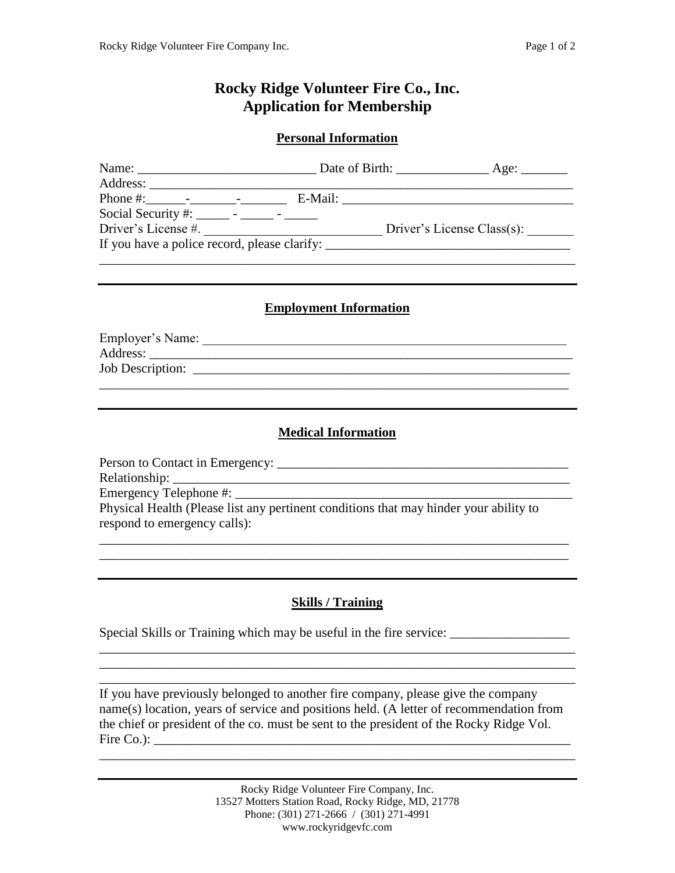# **Rocky Ridge Volunteer Fire Co., Inc. Application for Membership**

#### **Personal Information**

|                                                                                  | Date of Birth:                                                                   | $\angle$ Age: $\angle$     |
|----------------------------------------------------------------------------------|----------------------------------------------------------------------------------|----------------------------|
|                                                                                  |                                                                                  |                            |
|                                                                                  |                                                                                  |                            |
| Social Security #: $\frac{1}{1}$ - $\frac{1}{1}$ - $\frac{1}{1}$ - $\frac{1}{1}$ |                                                                                  |                            |
| Driver's License #.                                                              |                                                                                  | Driver's License Class(s): |
|                                                                                  | If you have a police record, please clarify: ___________________________________ |                            |
|                                                                                  |                                                                                  |                            |

#### **Employment Information**

| Employer's Name:                                                                                                                                                                                                              |  |  |
|-------------------------------------------------------------------------------------------------------------------------------------------------------------------------------------------------------------------------------|--|--|
| Address: Analysis and the same state of the state of the state of the state of the state of the state of the state of the state of the state of the state of the state of the state of the state of the state of the state of |  |  |
|                                                                                                                                                                                                                               |  |  |
|                                                                                                                                                                                                                               |  |  |

### **Medical Information**

Person to Contact in Emergency: \_\_\_\_\_\_\_\_\_\_\_\_\_\_\_\_\_\_\_\_\_\_\_\_\_\_\_\_\_\_\_\_\_\_\_\_\_\_\_\_\_\_\_\_ Relationship: \_\_\_\_\_\_\_\_\_\_\_\_\_\_\_\_\_\_\_\_\_\_\_\_\_\_\_\_\_\_\_\_\_\_\_\_\_\_\_\_\_\_\_\_\_\_\_\_\_\_\_\_\_\_\_\_\_\_\_\_ Emergency Telephone #: Physical Health (Please list any pertinent conditions that may hinder your ability to respond to emergency calls):

\_\_\_\_\_\_\_\_\_\_\_\_\_\_\_\_\_\_\_\_\_\_\_\_\_\_\_\_\_\_\_\_\_\_\_\_\_\_\_\_\_\_\_\_\_\_\_\_\_\_\_\_\_\_\_\_\_\_\_\_\_\_\_\_\_\_\_\_\_\_\_ \_\_\_\_\_\_\_\_\_\_\_\_\_\_\_\_\_\_\_\_\_\_\_\_\_\_\_\_\_\_\_\_\_\_\_\_\_\_\_\_\_\_\_\_\_\_\_\_\_\_\_\_\_\_\_\_\_\_\_\_\_\_\_\_\_\_\_\_\_\_\_

## **Skills / Training**

\_\_\_\_\_\_\_\_\_\_\_\_\_\_\_\_\_\_\_\_\_\_\_\_\_\_\_\_\_\_\_\_\_\_\_\_\_\_\_\_\_\_\_\_\_\_\_\_\_\_\_\_\_\_\_\_\_\_\_\_\_\_\_\_\_\_\_\_\_\_\_\_ \_\_\_\_\_\_\_\_\_\_\_\_\_\_\_\_\_\_\_\_\_\_\_\_\_\_\_\_\_\_\_\_\_\_\_\_\_\_\_\_\_\_\_\_\_\_\_\_\_\_\_\_\_\_\_\_\_\_\_\_\_\_\_\_\_\_\_\_\_\_\_\_ \_\_\_\_\_\_\_\_\_\_\_\_\_\_\_\_\_\_\_\_\_\_\_\_\_\_\_\_\_\_\_\_\_\_\_\_\_\_\_\_\_\_\_\_\_\_\_\_\_\_\_\_\_\_\_\_\_\_\_\_\_\_\_\_\_\_\_\_\_\_\_\_

Special Skills or Training which may be useful in the fire service:

If you have previously belonged to another fire company, please give the company name(s) location, years of service and positions held. (A letter of recommendation from the chief or president of the co. must be sent to the president of the Rocky Ridge Vol. Fire Co.): \_\_\_\_\_\_\_\_\_\_\_\_\_\_\_\_\_\_\_\_\_\_\_\_\_\_\_\_\_\_\_\_\_\_\_\_\_\_\_\_\_\_\_\_\_\_\_\_\_\_\_\_\_\_\_\_\_\_\_\_\_\_\_

\_\_\_\_\_\_\_\_\_\_\_\_\_\_\_\_\_\_\_\_\_\_\_\_\_\_\_\_\_\_\_\_\_\_\_\_\_\_\_\_\_\_\_\_\_\_\_\_\_\_\_\_\_\_\_\_\_\_\_\_\_\_\_\_\_\_\_\_\_\_\_\_